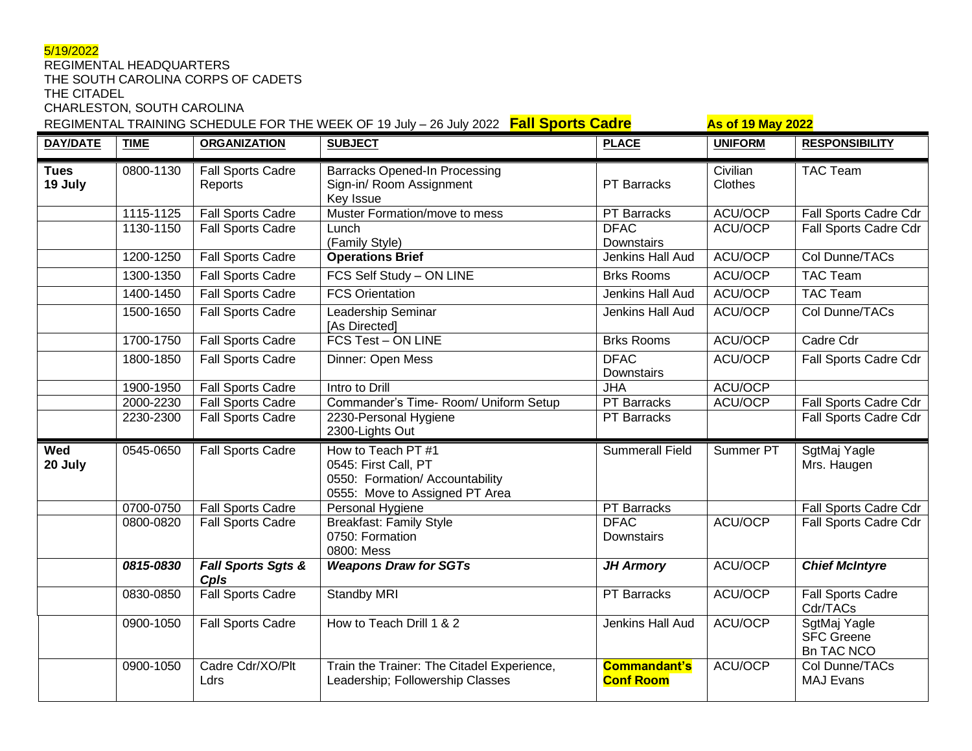# 5/19/2022

#### REGIMENTAL HEADQUARTERS THE SOUTH CAROLINA CORPS OF CADETS

THE CITADEL

CHARLESTON, SOUTH CAROLINA

REGIMENTAL TRAINING SCHEDULE FOR THE WEEK OF 19 July – 26 July 2022 **Fall Sports Cadre As of 19 May 2022** 

| <b>DAY/DATE</b>        | <b>TIME</b> | <b>ORGANIZATION</b>                 | <b>SUBJECT</b>                                                                                                  | <b>PLACE</b>                            | <b>UNIFORM</b>      | <b>RESPONSIBILITY</b>                           |
|------------------------|-------------|-------------------------------------|-----------------------------------------------------------------------------------------------------------------|-----------------------------------------|---------------------|-------------------------------------------------|
| <b>Tues</b><br>19 July | 0800-1130   | <b>Fall Sports Cadre</b><br>Reports | <b>Barracks Opened-In Processing</b><br>Sign-in/ Room Assignment<br>Key Issue                                   | <b>PT Barracks</b>                      | Civilian<br>Clothes | <b>TAC Team</b>                                 |
|                        | 1115-1125   | <b>Fall Sports Cadre</b>            | Muster Formation/move to mess                                                                                   | PT Barracks                             | ACU/OCP             | Fall Sports Cadre Cdr                           |
|                        | 1130-1150   | <b>Fall Sports Cadre</b>            | Lunch<br>(Family Style)                                                                                         | <b>DFAC</b><br>Downstairs               | ACU/OCP             | Fall Sports Cadre Cdr                           |
|                        | 1200-1250   | <b>Fall Sports Cadre</b>            | <b>Operations Brief</b>                                                                                         | <b>Jenkins Hall Aud</b>                 | ACU/OCP             | Col Dunne/TACs                                  |
|                        | 1300-1350   | <b>Fall Sports Cadre</b>            | FCS Self Study - ON LINE                                                                                        | <b>Brks Rooms</b>                       | ACU/OCP             | <b>TAC Team</b>                                 |
|                        | 1400-1450   | <b>Fall Sports Cadre</b>            | <b>FCS Orientation</b>                                                                                          | Jenkins Hall Aud                        | ACU/OCP             | <b>TAC Team</b>                                 |
|                        | 1500-1650   | <b>Fall Sports Cadre</b>            | Leadership Seminar<br>[As Directed]                                                                             | Jenkins Hall Aud                        | ACU/OCP             | Col Dunne/TACs                                  |
|                        | 1700-1750   | <b>Fall Sports Cadre</b>            | <b>FCS Test - ON LINE</b>                                                                                       | <b>Brks Rooms</b>                       | ACU/OCP             | Cadre Cdr                                       |
|                        | 1800-1850   | <b>Fall Sports Cadre</b>            | Dinner: Open Mess                                                                                               | <b>DFAC</b><br>Downstairs               | ACU/OCP             | Fall Sports Cadre Cdr                           |
|                        | 1900-1950   | <b>Fall Sports Cadre</b>            | Intro to Drill                                                                                                  | <b>JHA</b>                              | ACU/OCP             |                                                 |
|                        | 2000-2230   | <b>Fall Sports Cadre</b>            | Commander's Time-Room/ Uniform Setup                                                                            | PT Barracks                             | ACU/OCP             | Fall Sports Cadre Cdr                           |
|                        | 2230-2300   | <b>Fall Sports Cadre</b>            | 2230-Personal Hygiene<br>2300-Lights Out                                                                        | PT Barracks                             |                     | Fall Sports Cadre Cdr                           |
| Wed<br>20 July         | 0545-0650   | Fall Sports Cadre                   | How to Teach PT #1<br>0545: First Call, PT<br>0550: Formation/ Accountability<br>0555: Move to Assigned PT Area | <b>Summerall Field</b>                  | Summer PT           | SgtMaj Yagle<br>Mrs. Haugen                     |
|                        | 0700-0750   | <b>Fall Sports Cadre</b>            | Personal Hygiene                                                                                                | <b>PT Barracks</b>                      |                     | Fall Sports Cadre Cdr                           |
|                        | 0800-0820   | <b>Fall Sports Cadre</b>            | <b>Breakfast: Family Style</b><br>0750: Formation<br>0800: Mess                                                 | <b>DFAC</b><br>Downstairs               | ACU/OCP             | Fall Sports Cadre Cdr                           |
|                        | 0815-0830   | Fall Sports Sgts &<br>Cpls          | <b>Weapons Draw for SGTs</b>                                                                                    | <b>JH Armory</b>                        | ACU/OCP             | <b>Chief McIntyre</b>                           |
|                        | 0830-0850   | <b>Fall Sports Cadre</b>            | <b>Standby MRI</b>                                                                                              | <b>PT Barracks</b>                      | ACU/OCP             | <b>Fall Sports Cadre</b><br>Cdr/TACs            |
|                        | 0900-1050   | <b>Fall Sports Cadre</b>            | How to Teach Drill 1 & 2                                                                                        | Jenkins Hall Aud                        | ACU/OCP             | SgtMaj Yagle<br>SFC Greene<br><b>Bn TAC NCO</b> |
|                        | 0900-1050   | Cadre Cdr/XO/Plt<br>Ldrs            | Train the Trainer: The Citadel Experience,<br>Leadership; Followership Classes                                  | <b>Commandant's</b><br><b>Conf Room</b> | ACU/OCP             | Col Dunne/TACs<br><b>MAJ Evans</b>              |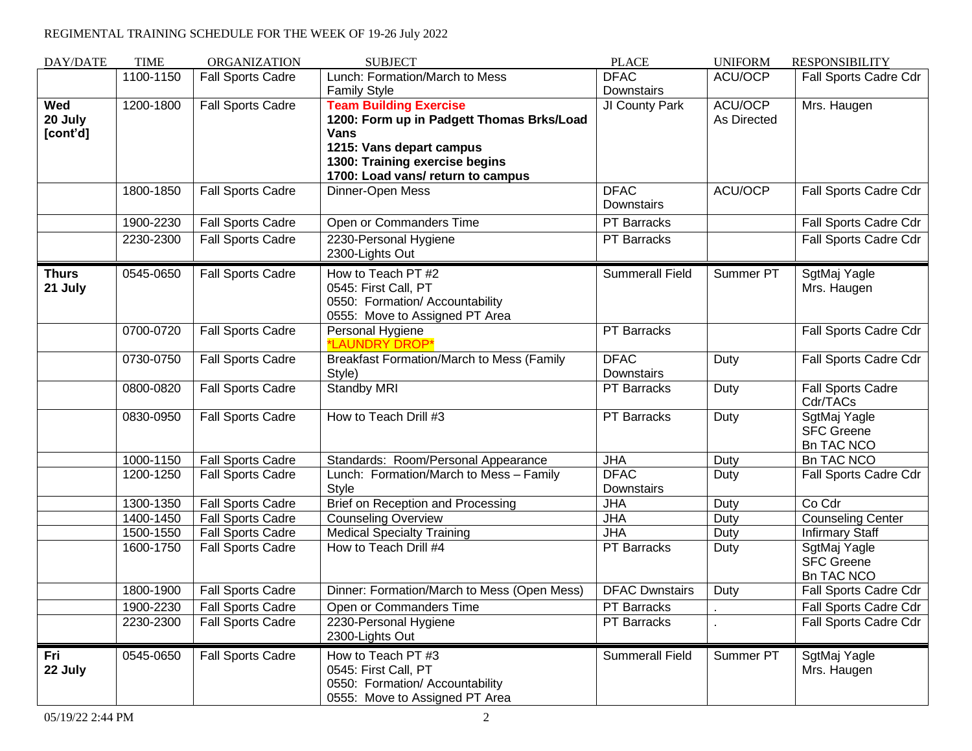# REGIMENTAL TRAINING SCHEDULE FOR THE WEEK OF 19-26 July 2022

| DAY/DATE                   | <b>TIME</b> | ORGANIZATION             | <b>SUBJECT</b>                                                                                                                                                                        | <b>PLACE</b>              | <b>UNIFORM</b>         | <b>RESPONSIBILITY</b>                                  |
|----------------------------|-------------|--------------------------|---------------------------------------------------------------------------------------------------------------------------------------------------------------------------------------|---------------------------|------------------------|--------------------------------------------------------|
|                            | 1100-1150   | <b>Fall Sports Cadre</b> | Lunch: Formation/March to Mess                                                                                                                                                        | <b>DFAC</b>               | ACU/OCP                | Fall Sports Cadre Cdr                                  |
|                            |             |                          | <b>Family Style</b>                                                                                                                                                                   | Downstairs                |                        |                                                        |
| Wed<br>20 July<br>[cont'd] | 1200-1800   | Fall Sports Cadre        | <b>Team Building Exercise</b><br>1200: Form up in Padgett Thomas Brks/Load<br>Vans<br>1215: Vans depart campus<br>1300: Training exercise begins<br>1700: Load vans/ return to campus | JI County Park            | ACU/OCP<br>As Directed | Mrs. Haugen                                            |
|                            | 1800-1850   | <b>Fall Sports Cadre</b> | Dinner-Open Mess                                                                                                                                                                      | <b>DFAC</b><br>Downstairs | ACU/OCP                | Fall Sports Cadre Cdr                                  |
|                            | 1900-2230   | <b>Fall Sports Cadre</b> | Open or Commanders Time                                                                                                                                                               | <b>PT Barracks</b>        |                        | Fall Sports Cadre Cdr                                  |
|                            | 2230-2300   | <b>Fall Sports Cadre</b> | 2230-Personal Hygiene<br>2300-Lights Out                                                                                                                                              | <b>PT Barracks</b>        |                        | Fall Sports Cadre Cdr                                  |
| <b>Thurs</b><br>21 July    | 0545-0650   | <b>Fall Sports Cadre</b> | How to Teach PT #2<br>0545: First Call, PT<br>0550: Formation/ Accountability<br>0555: Move to Assigned PT Area                                                                       | <b>Summerall Field</b>    | Summer PT              | SgtMaj Yagle<br>Mrs. Haugen                            |
|                            | 0700-0720   | <b>Fall Sports Cadre</b> | Personal Hygiene<br>*LAUNDRY DROP <sup>®</sup>                                                                                                                                        | <b>PT</b> Barracks        |                        | Fall Sports Cadre Cdr                                  |
|                            | 0730-0750   | Fall Sports Cadre        | <b>Breakfast Formation/March to Mess (Family</b><br>Style)                                                                                                                            | <b>DFAC</b><br>Downstairs | Duty                   | Fall Sports Cadre Cdr                                  |
|                            | 0800-0820   | Fall Sports Cadre        | <b>Standby MRI</b>                                                                                                                                                                    | PT Barracks               | Duty                   | <b>Fall Sports Cadre</b><br>Cdr/TACs                   |
|                            | 0830-0950   | <b>Fall Sports Cadre</b> | How to Teach Drill #3                                                                                                                                                                 | <b>PT Barracks</b>        | Duty                   | SgtMaj Yagle<br><b>SFC Greene</b><br><b>Bn TAC NCO</b> |
|                            | 1000-1150   | <b>Fall Sports Cadre</b> | Standards: Room/Personal Appearance                                                                                                                                                   | <b>JHA</b>                | Duty                   | <b>Bn TAC NCO</b>                                      |
|                            | 1200-1250   | <b>Fall Sports Cadre</b> | Lunch: Formation/March to Mess - Family<br><b>Style</b>                                                                                                                               | <b>DFAC</b><br>Downstairs | Duty                   | Fall Sports Cadre Cdr                                  |
|                            | 1300-1350   | <b>Fall Sports Cadre</b> | Brief on Reception and Processing                                                                                                                                                     | <b>JHA</b>                | Duty                   | Co Cdr                                                 |
|                            | 1400-1450   | <b>Fall Sports Cadre</b> | Counseling Overview                                                                                                                                                                   | <b>JHA</b>                | Duty                   | <b>Counseling Center</b>                               |
|                            | 1500-1550   | <b>Fall Sports Cadre</b> | <b>Medical Specialty Training</b>                                                                                                                                                     | <b>JHA</b>                | Duty                   | <b>Infirmary Staff</b>                                 |
|                            | 1600-1750   | <b>Fall Sports Cadre</b> | How to Teach Drill #4                                                                                                                                                                 | PT Barracks               | Duty                   | SgtMaj Yagle<br><b>SFC Greene</b><br><b>Bn TAC NCO</b> |
|                            | 1800-1900   | <b>Fall Sports Cadre</b> | Dinner: Formation/March to Mess (Open Mess)                                                                                                                                           | <b>DFAC Dwnstairs</b>     | Duty                   | Fall Sports Cadre Cdr                                  |
|                            | 1900-2230   | <b>Fall Sports Cadre</b> | Open or Commanders Time                                                                                                                                                               | <b>PT Barracks</b>        |                        | Fall Sports Cadre Cdr                                  |
|                            | 2230-2300   | <b>Fall Sports Cadre</b> | 2230-Personal Hygiene<br>2300-Lights Out                                                                                                                                              | <b>PT Barracks</b>        |                        | Fall Sports Cadre Cdr                                  |
| Fri<br>22 July             | 0545-0650   | <b>Fall Sports Cadre</b> | How to Teach PT #3<br>0545: First Call, PT<br>0550: Formation/ Accountability<br>0555: Move to Assigned PT Area                                                                       | <b>Summerall Field</b>    | Summer PT              | SgtMaj Yagle<br>Mrs. Haugen                            |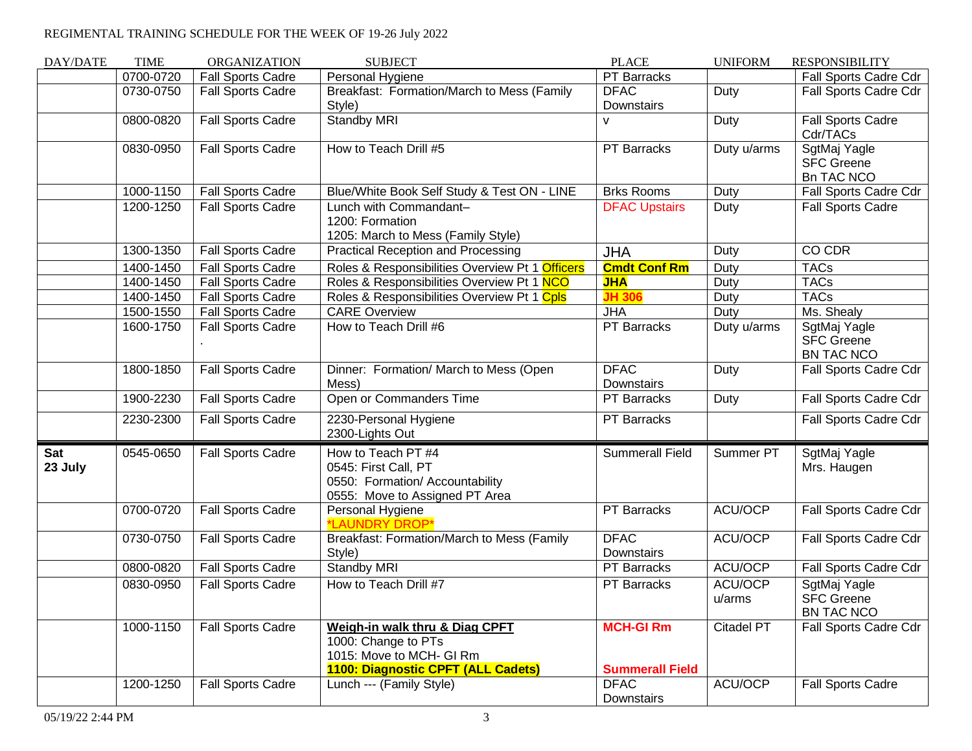# REGIMENTAL TRAINING SCHEDULE FOR THE WEEK OF 19-26 July 2022

| DAY/DATE       | <b>TIME</b> | <b>ORGANIZATION</b>      | <b>SUBJECT</b>                                                                                                          | <b>PLACE</b>                               | <b>UNIFORM</b>    | <b>RESPONSIBILITY</b>                                  |
|----------------|-------------|--------------------------|-------------------------------------------------------------------------------------------------------------------------|--------------------------------------------|-------------------|--------------------------------------------------------|
|                | 0700-0720   | <b>Fall Sports Cadre</b> | Personal Hygiene                                                                                                        | PT Barracks                                |                   | Fall Sports Cadre Cdr                                  |
|                | 0730-0750   | <b>Fall Sports Cadre</b> | Breakfast: Formation/March to Mess (Family<br>Style)                                                                    | <b>DFAC</b><br>Downstairs                  | Duty              | Fall Sports Cadre Cdr                                  |
|                | 0800-0820   | <b>Fall Sports Cadre</b> | <b>Standby MRI</b>                                                                                                      | v                                          | Duty              | Fall Sports Cadre<br>Cdr/TACs                          |
|                | 0830-0950   | <b>Fall Sports Cadre</b> | How to Teach Drill #5                                                                                                   | PT Barracks                                | Duty u/arms       | SgtMaj Yagle<br><b>SFC Greene</b><br><b>Bn TAC NCO</b> |
|                | 1000-1150   | <b>Fall Sports Cadre</b> | Blue/White Book Self Study & Test ON - LINE                                                                             | <b>Brks Rooms</b>                          | Duty              | Fall Sports Cadre Cdr                                  |
|                | 1200-1250   | <b>Fall Sports Cadre</b> | Lunch with Commandant-<br>1200: Formation<br>1205: March to Mess (Family Style)                                         | <b>DFAC Upstairs</b>                       | Duty              | <b>Fall Sports Cadre</b>                               |
|                | 1300-1350   | <b>Fall Sports Cadre</b> | <b>Practical Reception and Processing</b>                                                                               | <b>JHA</b>                                 | Duty              | CO CDR                                                 |
|                | 1400-1450   | <b>Fall Sports Cadre</b> | Roles & Responsibilities Overview Pt 1 Officers                                                                         | <b>Cmdt Conf Rm</b>                        | Duty              | <b>TACs</b>                                            |
|                | 1400-1450   | <b>Fall Sports Cadre</b> | Roles & Responsibilities Overview Pt 1 NCO                                                                              | <b>JHA</b>                                 | Duty              | <b>TACs</b>                                            |
|                | 1400-1450   | <b>Fall Sports Cadre</b> | Roles & Responsibilities Overview Pt 1 Cpls                                                                             | <b>JH 306</b>                              | Duty              | <b>TACs</b>                                            |
|                | 1500-1550   | <b>Fall Sports Cadre</b> | <b>CARE Overview</b>                                                                                                    | <b>JHA</b>                                 | Duty              | Ms. Shealy                                             |
|                | 1600-1750   | <b>Fall Sports Cadre</b> | How to Teach Drill #6                                                                                                   | PT Barracks                                | Duty u/arms       | SgtMaj Yagle<br><b>SFC Greene</b><br><b>BN TAC NCO</b> |
|                | 1800-1850   | Fall Sports Cadre        | Dinner: Formation/ March to Mess (Open<br>Mess)                                                                         | <b>DFAC</b><br>Downstairs                  | Duty              | Fall Sports Cadre Cdr                                  |
|                | 1900-2230   | <b>Fall Sports Cadre</b> | Open or Commanders Time                                                                                                 | PT Barracks                                | Duty              | Fall Sports Cadre Cdr                                  |
|                | 2230-2300   | <b>Fall Sports Cadre</b> | 2230-Personal Hygiene<br>2300-Lights Out                                                                                | PT Barracks                                |                   | Fall Sports Cadre Cdr                                  |
| Sat<br>23 July | 0545-0650   | <b>Fall Sports Cadre</b> | How to Teach PT #4<br>0545: First Call, PT<br>0550: Formation/ Accountability<br>0555: Move to Assigned PT Area         | <b>Summerall Field</b>                     | Summer PT         | SgtMaj Yagle<br>Mrs. Haugen                            |
|                | 0700-0720   | <b>Fall Sports Cadre</b> | Personal Hygiene<br>*LAUNDRY DROP*                                                                                      | PT Barracks                                | ACU/OCP           | Fall Sports Cadre Cdr                                  |
|                | 0730-0750   | Fall Sports Cadre        | Breakfast: Formation/March to Mess (Family<br>Style)                                                                    | <b>DFAC</b><br>Downstairs                  | ACU/OCP           | Fall Sports Cadre Cdr                                  |
|                | 0800-0820   | <b>Fall Sports Cadre</b> | Standby MRI                                                                                                             | PT Barracks                                | ACU/OCP           | Fall Sports Cadre Cdr                                  |
|                | 0830-0950   | <b>Fall Sports Cadre</b> | How to Teach Drill #7                                                                                                   | <b>PT Barracks</b>                         | ACU/OCP<br>u/arms | SgtMaj Yagle<br><b>SFC Greene</b><br>BN TAC NCO        |
|                | 1000-1150   | <b>Fall Sports Cadre</b> | Weigh-in walk thru & Diag CPFT<br>1000: Change to PTs<br>1015: Move to MCH- GI Rm<br>1100: Diagnostic CPFT (ALL Cadets) | <b>MCH-GI Rm</b><br><b>Summerall Field</b> | <b>Citadel PT</b> | Fall Sports Cadre Cdr                                  |
|                | 1200-1250   | Fall Sports Cadre        | Lunch --- (Family Style)                                                                                                | <b>DFAC</b><br>Downstairs                  | ACU/OCP           | Fall Sports Cadre                                      |